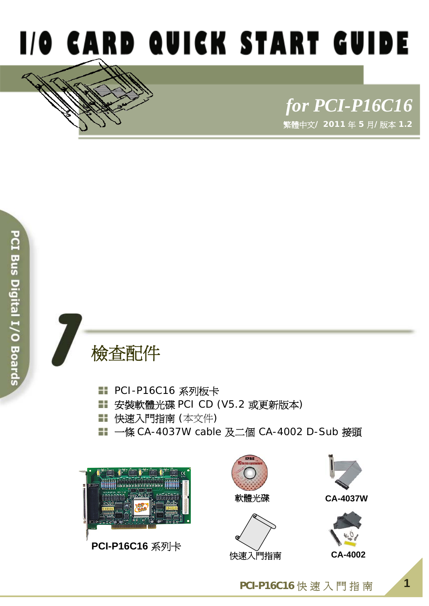

# *for PCI-P16C16* 繁體中文**/ 2011** 年 **5** 月**/**版本 **1.2**



- PCI-P16C16 系列板卡
- 安裝軟體光碟 PCI CD (V5.2 或更新版本)
- 快速入門指南 (本文件)
- 一條 CA-4037W cable 及二個 CA-4002 D-Sub 接頭



**PCI-P16C16** 系列卡





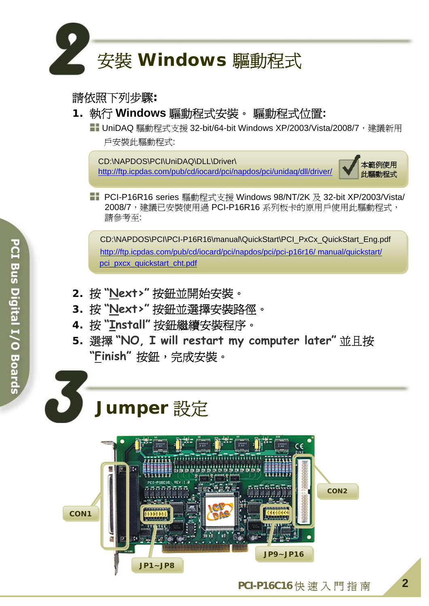

#### 請依照下列步驟**:**

**1.** 執行 **Windows** 驅動程式安裝。 驅動程式位置**:** 

■ UniDAQ 驅動程式支援 32-bit/64-bit Windows XP/2003/Vista/2008/7, 建議新用 戶安裝此驅動程式:

CD:\NAPDOS\PCI\UniDAQ\DLL\Driver\ <http://ftp.icpdas.com/pub/cd/iocard/pci/napdos/pci/unidaq/dll/driver/>



■■ PCI-P16R16 series 驅動程式支援 Windows 98/NT/2K 及 32-bit XP/2003/Vista/ 2008/7, 建議已安裝使用過 PCI-P16R16 系列板卡的原用戶使用此驅動程式, 請參考至:

CD:\NAPDOS\PCI\PCI-P16R16\manual\QuickStart\PCI\_PxCx\_QuickStart\_Eng.pdf [http://ftp.icpdas.com/pub/cd/iocard/pci/napdos/pci/pci-p16r16/ manual/quickstart/](http://ftp.icpdas.com/pub/cd/iocard/pci/napdos/pci/pci-p16r16/manual/quickstart/pci_pxcx_quickstart_cht.pdf) [pci\\_pxcx\\_quickstart\\_cht.pdf](http://ftp.icpdas.com/pub/cd/iocard/pci/napdos/pci/pci-p16r16/manual/quickstart/pci_pxcx_quickstart_cht.pdf)

- **2.** 按 **"Next>"** 按鈕並開始安裝。
- **3.** 按 **"Next>"** 按鈕並選擇安裝路徑。
- **4.** 按 **"Install"** 按鈕繼續安裝程序。
- **5.** 選擇 **"NO, I will restart my computer later"** 並且按 **"Finish"** 按鈕,完成安裝。

# **Jumper** 設定

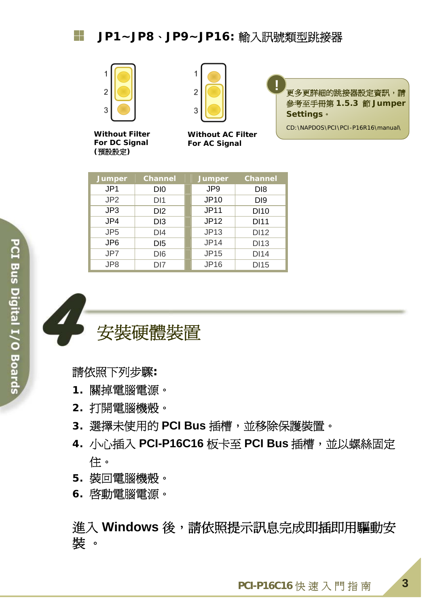

**Without Filter For DC Signal (**預設設定**)** 



**Without AC Filter For AC Signal** 

**!** 更多更詳細的跳接器設定資訊,請 參考至手冊第 **1.5.3** 節 **Jumper Settings**。

CD:\NAPDOS\PCI\PCI-P16R16\manual\

| <b>Jumper</b>   | <b>Channel</b>  | Jumper          | <b>Channel</b>  |
|-----------------|-----------------|-----------------|-----------------|
| JP <sub>1</sub> | D <sub>IO</sub> | JP <sub>9</sub> | D <sub>18</sub> |
| JP <sub>2</sub> | DI1             | <b>JP10</b>     | D <sub>19</sub> |
| JP3             | D <sub>12</sub> | <b>JP11</b>     | <b>DI10</b>     |
| JP4             | D <sub>13</sub> | <b>JP12</b>     | <b>DI11</b>     |
| JP <sub>5</sub> | DI4             | <b>JP13</b>     | <b>DI12</b>     |
| JP <sub>6</sub> | D <sub>15</sub> | <b>JP14</b>     | <b>DI13</b>     |
| JP7             | D <sub>16</sub> | <b>JP15</b>     | <b>DI14</b>     |
| JP8             | D <sub>17</sub> | <b>JP16</b>     | <b>DI15</b>     |



請依照下列步驟**:** 

- **1.** 關掉電腦電源。
- **2.** 打開電腦機殼。
- **3.** 選擇未使用的 **PCI Bus** 插槽,並移除保護裝置。
- 4. 小心插入 PCI-P16C16 板卡至 PCI Bus 插槽, 並以螺絲固定 住。
- **5.** 裝回電腦機殼。
- **6.** 啟動電腦電源。

進入 Windows 後,請依照提示訊息完成即插即用驅動安 裝 。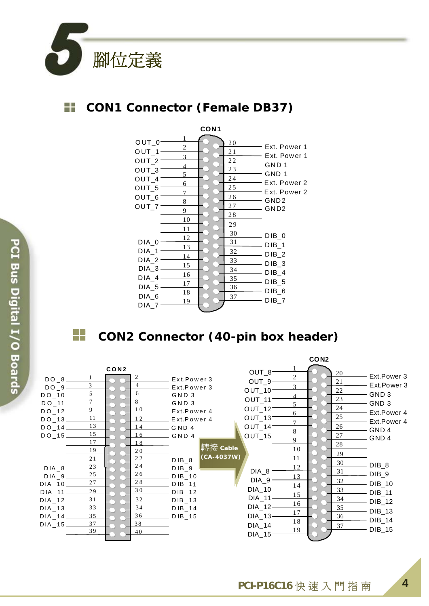

## **CON1 Connector (Female DB37)**



### **CON2 Connector (40-pin box header)**



╬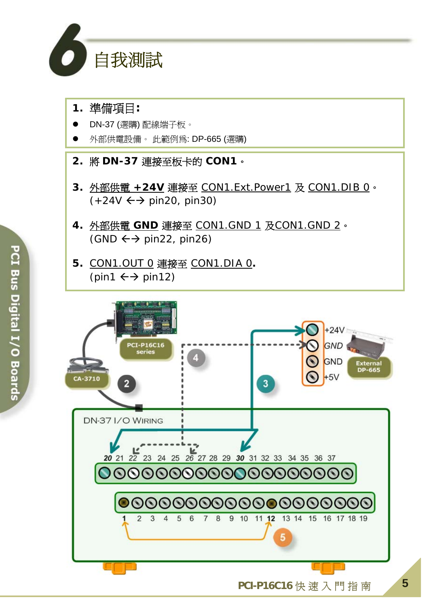

### **1.** 準備項目**:**

- z DN-37 (選購) 配線端子板。
- 外部供電設備。 此範例為: DP-665 (選購)

**2.** 將 **DN-37** 連接至板卡的 **CON1**。

- **3.** 外部供電 **+24V** 連接至 CON1.Ext.Power1 及 CON1.DIB 0。  $(+24V \leftrightarrow$  pin20, pin30)
- **4.** 外部供電 **GND** 連接至 CON1.GND 1 及CON1.GND 2。  $(SND \leftrightarrow pin22, pin26)$
- **5.** CON1.OUT 0 連接至 CON1.DIA 0**.**  (pin1  $\leftrightarrow$  pin12)

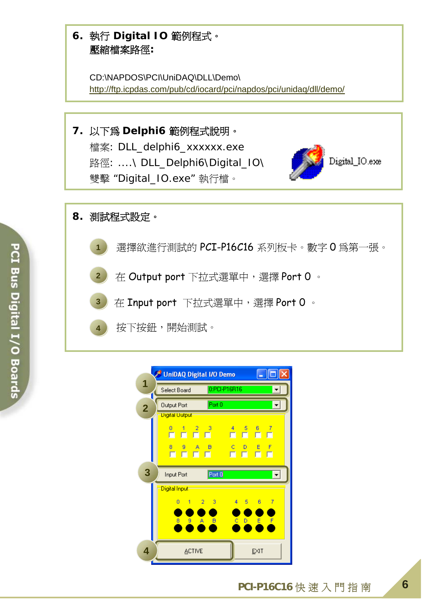